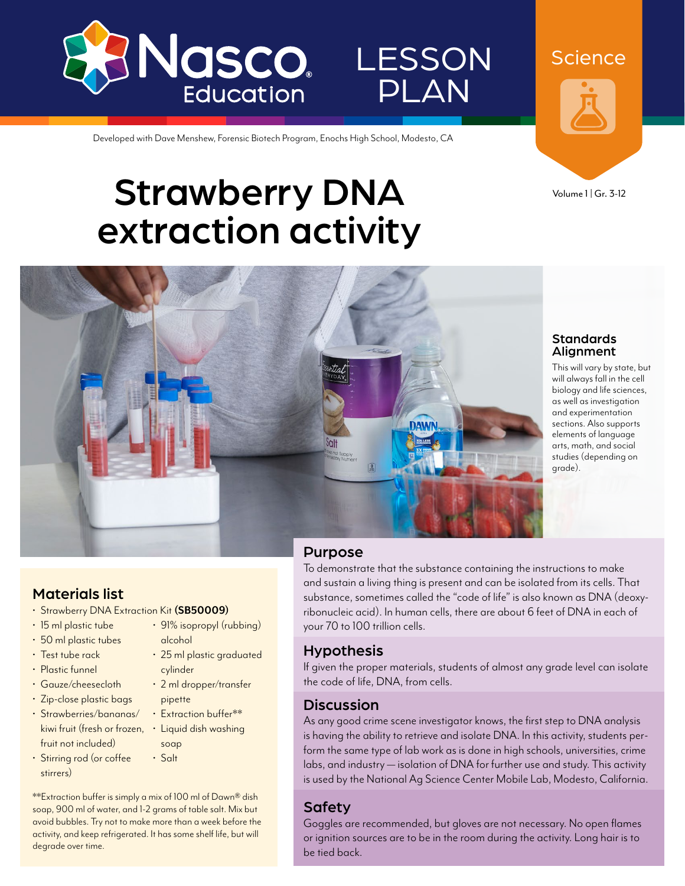

Developed with Dave Menshew, Forensic Biotech Program, Enochs High School, Modesto, CA

# Strawberry DNA extraction activity



**Science** 

Volume 1 | Gr. 3-12



#### Standards Alignment

This will vary by state, but will always fall in the cell biology and life sciences, as well as investigation and experimentation sections. Also supports elements of language arts, math, and social studies (depending on grade).

### Materials list

- Strawberry DNA Extraction Kit **[\(SB50009](http://www.enasco.com/p/SB50009))**
- 15 ml plastic tube
- 50 ml plastic tubes
- Test tube rack
- Plastic funnel
- Gauze/cheesecloth
- Zip-close plastic bags
- Strawberries/bananas/ kiwi fruit (fresh or frozen, • Liquid dish washing fruit not included)
- Stirring rod (or coffee stirrers)
- 91% isopropyl (rubbing)
	- alcohol • 25 ml plastic graduated cylinder
	- 2 ml dropper/transfer pipette
	- Extraction buffer\*\*
	- soap
- Salt

\*\*Extraction buffer is simply a mix of 100 ml of Dawn® dish soap, 900 ml of water, and 1-2 grams of table salt. Mix but avoid bubbles. Try not to make more than a week before the activity, and keep refrigerated. It has some shelf life, but will degrade over time.

### Purpose

To demonstrate that the substance containing the instructions to make and sustain a living thing is present and can be isolated from its cells. That substance, sometimes called the "code of life" is also known as DNA (deoxyribonucleic acid). In human cells, there are about 6 feet of DNA in each of your 70 to 100 trillion cells.

LESSON

PLAN

# Hypothesis

If given the proper materials, students of almost any grade level can isolate the code of life, DNA, from cells.

# **Discussion**

As any good crime scene investigator knows, the first step to DNA analysis is having the ability to retrieve and isolate DNA. In this activity, students perform the same type of lab work as is done in high schools, universities, crime labs, and industry — isolation of DNA for further use and study. This activity is used by the National Ag Science Center Mobile Lab, Modesto, California.

# Safety

Goggles are recommended, but gloves are not necessary. No open flames or ignition sources are to be in the room during the activity. Long hair is to be tied back.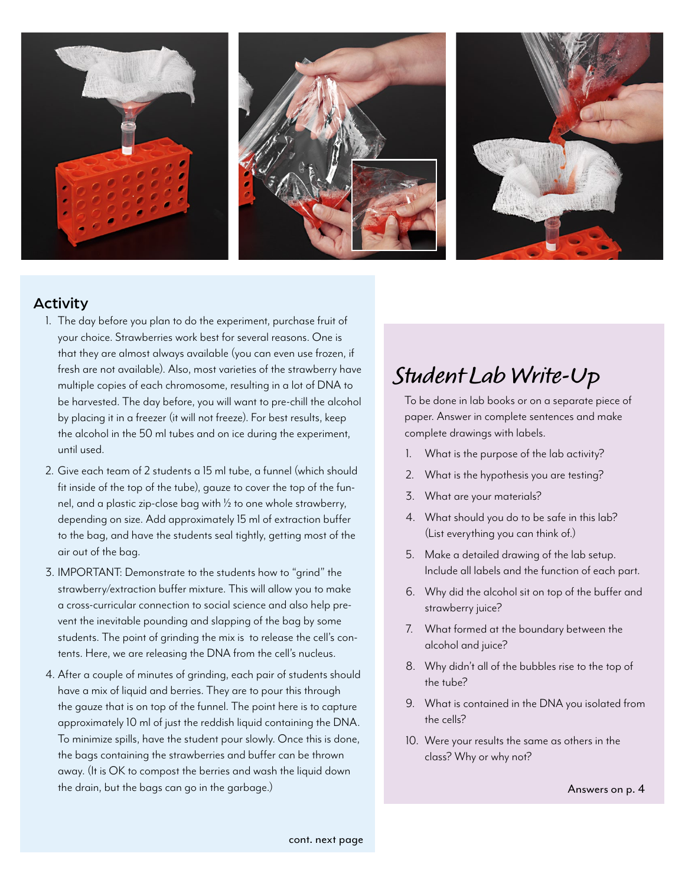

### Activity

- 1. The day before you plan to do the experiment, purchase fruit of your choice. Strawberries work best for several reasons. One is that they are almost always available (you can even use frozen, if fresh are not available). Also, most varieties of the strawberry have multiple copies of each chromosome, resulting in a lot of DNA to be harvested. The day before, you will want to pre-chill the alcohol by placing it in a freezer (it will not freeze). For best results, keep the alcohol in the 50 ml tubes and on ice during the experiment, until used.
- 2. Give each team of 2 students a 15 ml tube, a funnel (which should fit inside of the top of the tube), gauze to cover the top of the funnel, and a plastic zip-close bag with ½ to one whole strawberry, depending on size. Add approximately 15 ml of extraction buffer to the bag, and have the students seal tightly, getting most of the air out of the bag.
- 3. IMPORTANT: Demonstrate to the students how to "grind" the strawberry/extraction buffer mixture. This will allow you to make a cross-curricular connection to social science and also help prevent the inevitable pounding and slapping of the bag by some students. The point of grinding the mix is to release the cell's contents. Here, we are releasing the DNA from the cell's nucleus.
- 4. After a couple of minutes of grinding, each pair of students should have a mix of liquid and berries. They are to pour this through the gauze that is on top of the funnel. The point here is to capture approximately 10 ml of just the reddish liquid containing the DNA. To minimize spills, have the student pour slowly. Once this is done, the bags containing the strawberries and buffer can be thrown away. (It is OK to compost the berries and wash the liquid down the drain, but the bags can go in the garbage.)

# **Student Lab Write-Up**

To be done in lab books or on a separate piece of paper. Answer in complete sentences and make complete drawings with labels.

- 1. What is the purpose of the lab activity?
- 2. What is the hypothesis you are testing?
- 3. What are your materials?
- 4. What should you do to be safe in this lab? (List everything you can think of.)
- 5. Make a detailed drawing of the lab setup. Include all labels and the function of each part.
- 6. Why did the alcohol sit on top of the buffer and strawberry juice?
- 7. What formed at the boundary between the alcohol and juice?
- 8. Why didn't all of the bubbles rise to the top of the tube?
- 9. What is contained in the DNA you isolated from the cells?
- 10. Were your results the same as others in the class? Why or why not?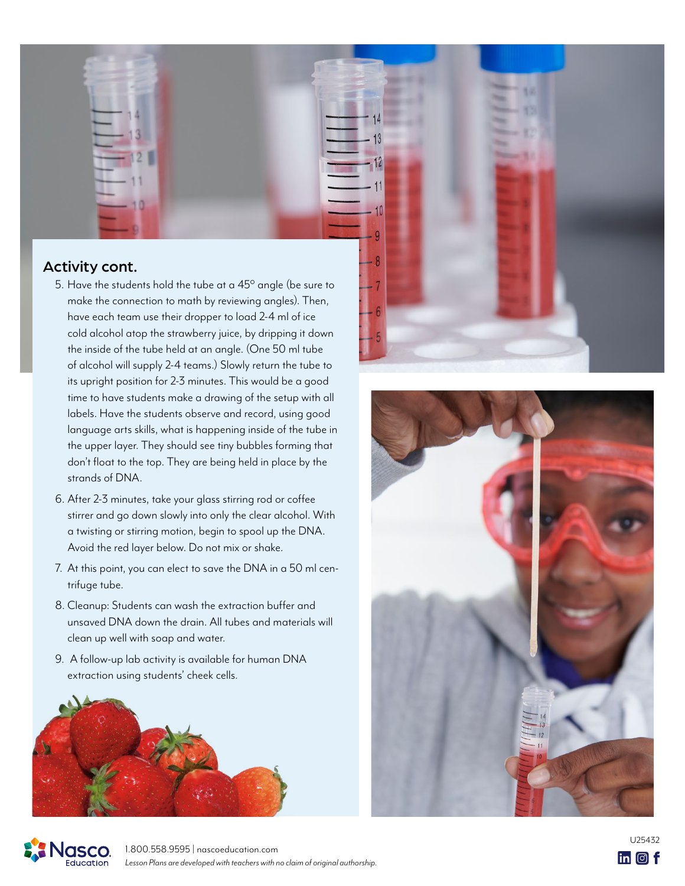

- have each team use their dropper to load 2-4 ml of ice cold alcohol atop the strawberry juice, by dripping it down the inside of the tube held at an angle. (One 50 ml tube of alcohol will supply 2-4 teams.) Slowly return the tube to its upright position for 2-3 minutes. This would be a good time to have students make a drawing of the setup with all labels. Have the students observe and record, using good language arts skills, what is happening inside of the tube in the upper layer. They should see tiny bubbles forming that don't float to the top. They are being held in place by the strands of DNA.
- 6. After 2-3 minutes, take your glass stirring rod or coffee stirrer and go down slowly into only the clear alcohol. With a twisting or stirring motion, begin to spool up the DNA. Avoid the red layer below. Do not mix or shake.
- 7. At this point, you can elect to save the DNA in a 50 ml centrifuge tube.
- 8. Cleanup: Students can wash the extraction buffer and unsaved DNA down the drain. All tubes and materials will clean up well with soap and water.
- 9. A follow-up lab activity is available for human DNA extraction using students' cheek cells.